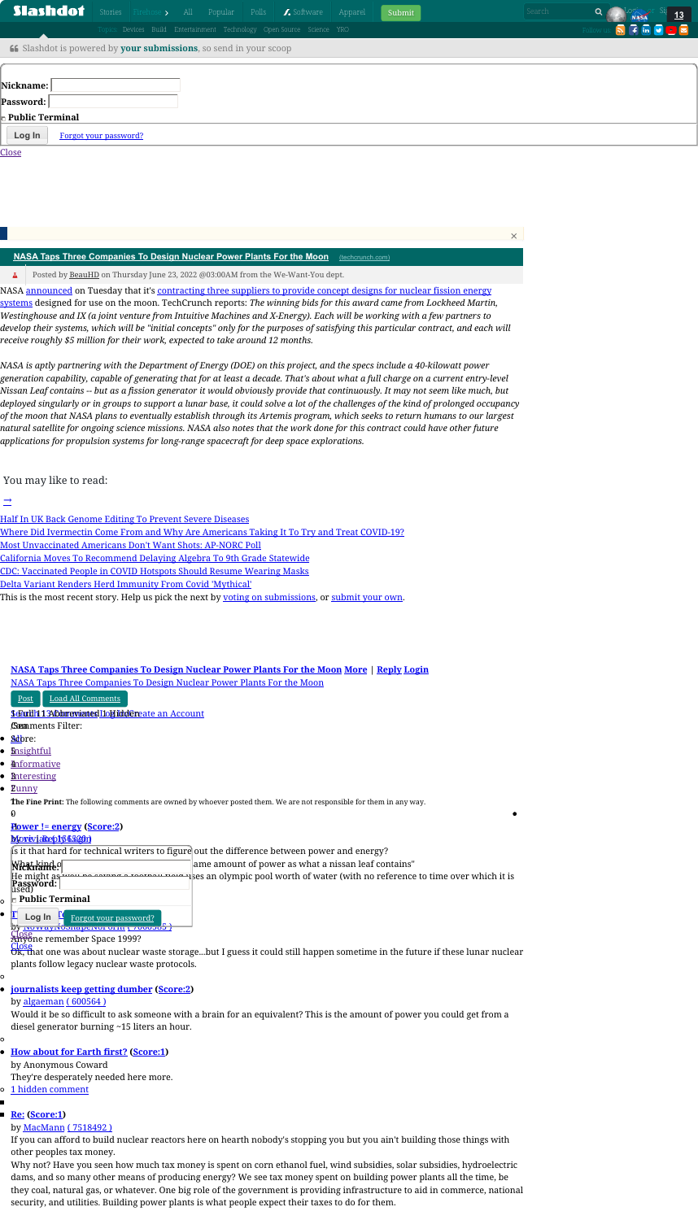NASA <u>[announced](https://www.nasa.gov/press-release/nasa-announces-artemis-concept-awards-for-nuclear-power-on-moon)</u> on Tuesday that it's <u>contracting three suppliers to provide concept designs for nuclear fission energy</u> systems designed for use on the moon. [TechCrunch](https://techcrunch.com/2022/06/21/nasa-taps-three-companies-to-design-nuclear-power-plants-for-the-moon/) reports: *The winning bids for this award came from Lockheed Martin,* Westinghouse and IX (a joint venture from Intuitive Machines and X-Energy). Each will be working with a few partners to develop their systems, which will be "initial concepts" only for the purposes of satisfying this particular contract, and each will *receive roughly \$5 million for their work, expected to take around 12 months.*

NASA is aptly partnering with the Department of Energy (DOE) on this project, and the specs include a 40-kilowatt power generation capability, capable of generating that for at least a decade. That's about what a full charge on a current entry-level Nissan Leaf contains -- but as a fission generator it would obviously provide that continuously. It may not seem like much, but deployed singularly or in groups to support a lunar base, it could solve a lot of the challenges of the kind of prolonged occupancy of the moon that NASA plans to eventually establish through its Artemis program, which seeks to return humans to our largest natural satellite for ongoing science missions. NASA also notes that the work done for this contract could have other future *applications for propulsion systems for long-range spacecraft for deep space explorations.*

- Half In UK Back Genome Editing To Prevent Severe [Diseases](https://news.slashdot.org/story/22/06/22/2129213/half-in-uk-back-genome-editing-to-prevent-severe-diseases?sdsrc=prev)
- Where Did [Ivermectin](https://science.slashdot.org/story/21/09/02/037243/where-did-ivermectin-come-from-and-why-are-americans-taking-it-to-try-and-treat-covid-19?sdsrc=popbyskid) Come From and Why Are Americans Taking It To Try and Treat COVID-19?
- Most [Unvaccinated](https://science.slashdot.org/story/21/07/23/1552241/most-unvaccinated-americans-dont-want-shots-ap-norc-poll?sdsrc=popbyskid) Americans Don't Want Shots: AP-NORC Poll
- California Moves To [Recommend](https://science.slashdot.org/story/21/11/24/001231/california-moves-to-recommend-delaying-algebra-to-9th-grade-statewide?sdsrc=popbyskid) Delaying Algebra To 9th Grade Statewide
- CDC: [Vaccinated](https://science.slashdot.org/story/21/07/27/1945250/cdc-vaccinated-people-in-covid-hotspots-should-resume-wearing-masks?sdsrc=popbyskid) People in COVID Hotspots Should Resume Wearing Masks
- Delta Variant Renders Herd [Immunity](https://science.slashdot.org/story/21/08/11/1448244/delta-variant-renders-herd-immunity-from-covid-mythical?sdsrc=popbyskid) From Covid 'Mythical'
- This is the most recent story. Help us pick the next by <u>voting on submissions</u>, or <u>[submit](https://slashdot.org/submission) your own</u>.

## You may like to read:

### $\rightarrow$

#### **NASA Taps Three [Companies](https://science.slashdot.org/story/22/06/22/2237237/nasa-taps-three-companies-to-design-nuclear-power-plants-for-the-moon) To Design Nuclear Power Plants For the Moon [More](https://science.slashdot.org/story/22/06/22/2237237/nasa-taps-three-companies-to-design-nuclear-power-plants-for-the-moon#) | [Reply](https://science.slashdot.org/comments.pl?sid=21586712&op=reply&threshold=1&commentsort=0&mode=thread&pid=) [Login](https://science.slashdot.org/login.pl)**

|                                                                          |                       |  | Slashdot Stories Firehose > All Popular Polls   7. Software            |  |  | Apparel | Submit | Search | <u>13</u>                             |  |
|--------------------------------------------------------------------------|-----------------------|--|------------------------------------------------------------------------|--|--|---------|--------|--------|---------------------------------------|--|
|                                                                          |                       |  | Topics: Devices Build Entertainment Technology Open Source Science YRO |  |  |         |        |        | Follow us: <b>a f</b> in <b>v e e</b> |  |
| <b>66</b> Slashdot is powered by your submissions, so send in your scoop |                       |  |                                                                        |  |  |         |        |        |                                       |  |
|                                                                          |                       |  |                                                                        |  |  |         |        |        |                                       |  |
| Nickname:                                                                |                       |  |                                                                        |  |  |         |        |        |                                       |  |
| <b>'Password:  </b>                                                      |                       |  |                                                                        |  |  |         |        |        |                                       |  |
| <b>Public Terminal</b>                                                   |                       |  |                                                                        |  |  |         |        |        |                                       |  |
| Log In                                                                   | Forgot your password? |  |                                                                        |  |  |         |        |        |                                       |  |
| Close                                                                    |                       |  |                                                                        |  |  |         |        |        |                                       |  |

NASA Taps Three [Companies](https://science.slashdot.org/story/22/06/22/2237237/nasa-taps-three-companies-to-design-nuclear-power-plants-for-the-moon) To Design Nuclear Power Plants For the Moon

- [Post](https://science.slashdot.org/comments.pl?sid=21586712&op=reply&threshold=1&commentsort=0&mode=thread&pid=) | Load All [Comments](https://science.slashdot.org/story/22/06/22/2237237/nasa-taps-three-companies-to-design-nuclear-power-plants-for-the-moon#)
- <u>ScEartlin 1 Albibare vientes l'Iole ikiddereate an Account</u>
- *(Sea***nments Filter:**
- <u>Sdb</u>re:
- <u>**E**nsightful</u>
- <u>**[Informative](https://science.slashdot.org/story/22/06/22/2237237/nasa-taps-three-companies-to-design-nuclear-power-plants-for-the-moon)**</u>
- <u>Bnteresting</u>
- <u> Eunny</u>

Posted by [BeauHD](https://twitter.com/BeauHD) on Thursday June 23, 2022 @03:00AM from the We-Want-You dept.  $\Delta$ 

Ok, that one was about nuclear waste storage…but I guess it could still happen sometime in the future if these lunar nuclear plants follow legacy nuclear waste protocols. [Close](https://science.slashdot.org/story/22/06/22/2237237/nasa-taps-three-companies-to-design-nuclear-power-plants-for-the-moon#)

#### **[journalists](https://science.slashdot.org/comments.pl?sid=21586712&cid=62643866) keep getting dumber [\(Score:2\)](https://science.slashdot.org/story/22/06/22/2237237/nasa-taps-three-companies-to-design-nuclear-power-plants-for-the-moon#)**

by [algaeman](https://slashdot.org/~algaeman) ( [600564](https://slashdot.org/~algaeman) )

Would it be so difficult to ask someone with a brain for an equivalent? This is the amount of power you could get from a diesel generator burning ~15 liters an hour.

Ō

**How [about](https://science.slashdot.org/comments.pl?sid=21586712&cid=62643872) for Earth first? [\(Score:1\)](https://science.slashdot.org/story/22/06/22/2237237/nasa-taps-three-companies-to-design-nuclear-power-plants-for-the-moon#)**

by Anonymous Coward

They're desperately needed here more.

o 1 hidden [comment](https://science.slashdot.org/story/22/06/22/2237237/nasa-taps-three-companies-to-design-nuclear-power-plants-for-the-moon#)

**The Fine Print:** The following comments are owned by whoever posted them. We are not responsible for them in any way. 1

 $\boldsymbol{\theta}$ 

## **[Re:](https://science.slashdot.org/comments.pl?sid=21586712&cid=62643912) [\(Score:1\)](https://science.slashdot.org/story/22/06/22/2237237/nasa-taps-three-companies-to-design-nuclear-power-plants-for-the-moon#)**

by [MacMann](https://slashdot.org/~MacMann) ( [7518492](https://slashdot.org/~MacMann) )

### **Power != [energy](https://science.slashdot.org/comments.pl?sid=21586712&cid=62643834) [\(Score:2\)](https://science.slashdot.org/story/22/06/22/2237237/nasa-taps-three-companies-to-design-nuclear-power-plants-for-the-moon#)** -1

#### <u>Movevia[Reply](https://science.slashdot.org/comments.pl?sid=21586712&op=reply&threshold=1&commentsort=0&mode=thread&pid=) 6.520n</u>

Is it that hard for technical writers to figure out the difference between power and energy?

If you can afford to build nuclear reactors here on hearth nobody's stopping you but you ain't building those things with other peoples tax money.

| Wierkind of              | ame amount of power as what a nissan leaf contains"                                                                                                                       |
|--------------------------|---------------------------------------------------------------------------------------------------------------------------------------------------------------------------|
|                          | He might as <b>include connect footboll field i</b> ses an olympic pool worth of water (with no reference to time over which it is <b>Password:</b><br><b>Password:</b> [ |
| $\vdash$ Public Terminal |                                                                                                                                                                           |

- **TLog In <u>C** Forgot your password?</u>
- by NowayNoShapeNorom ( 7000065 ) [Close](https://science.slashdot.org/story/22/06/22/2237237/nasa-taps-three-companies-to-design-nuclear-power-plants-for-the-moon)
- <del>Ănyo</del>ne remember Space 1999?

Why not? Have you seen how much tax money is spent on corn ethanol fuel, wind subsidies, solar subsidies, hydroelectric dams, and so many other means of producing energy? We see tax money spent on building power plants all the time, be they coal, natural gas, or whatever. One big role of the government is providing infrastructure to aid in commerce, national security, and utilities. Building power plants is what people expect their taxes to do for them.

[×](https://science.slashdot.org/story/22/06/22/2237237/nasa-taps-three-companies-to-design-nuclear-power-plants-for-the-moon)

#### **NASA Taps Three [Companies](https://science.slashdot.org/story/22/06/22/2237237/nasa-taps-three-companies-to-design-nuclear-power-plants-for-the-moon) To Design Nuclear Power Plants For the Moon** [\(techcrunch.com\)](https://techcrunch.com/2022/06/21/nasa-taps-three-companies-to-design-nuclear-power-plants-for-the-moon/)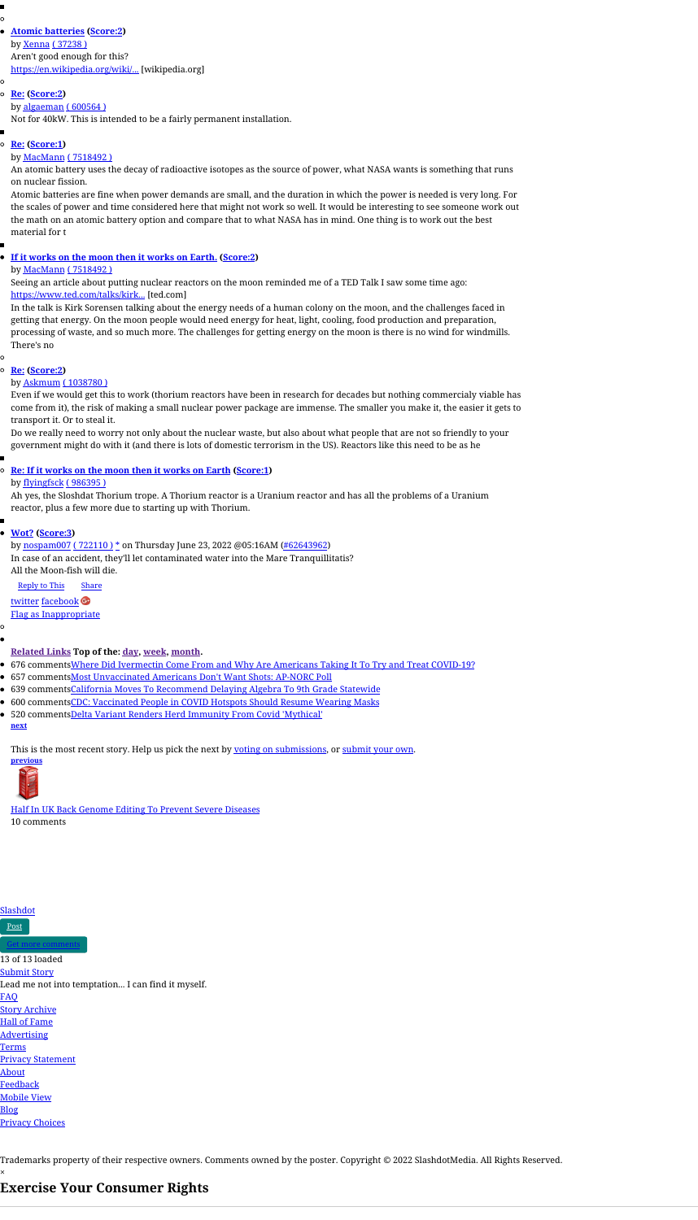## **Atomic [batteries](https://science.slashdot.org/comments.pl?sid=21586712&cid=62643880) [\(Score:2\)](https://science.slashdot.org/story/22/06/22/2237237/nasa-taps-three-companies-to-design-nuclear-power-plants-for-the-moon#)**

by [Xenna](https://slashdot.org/~Xenna) ( [37238](https://slashdot.org/~Xenna) ) Aren't good enough for this? [https://en.wikipedia.org/wiki/...](https://en.wikipedia.org/wiki/Atomic_battery) [wikipedia.org]

#### **[Re:](https://science.slashdot.org/comments.pl?sid=21586712&cid=62643908) [\(Score:2\)](https://science.slashdot.org/story/22/06/22/2237237/nasa-taps-three-companies-to-design-nuclear-power-plants-for-the-moon#)**

#### by [algaeman](https://slashdot.org/~algaeman) ( [600564](https://slashdot.org/~algaeman) )

Not for 40kW. This is intended to be a fairly permanent installation.

#### **[Re:](https://science.slashdot.org/comments.pl?sid=21586712&cid=62643922) [\(Score:1\)](https://science.slashdot.org/story/22/06/22/2237237/nasa-taps-three-companies-to-design-nuclear-power-plants-for-the-moon#)**

### by [MacMann](https://slashdot.org/~MacMann) ( [7518492](https://slashdot.org/~MacMann) )

An atomic battery uses the decay of radioactive isotopes as the source of power, what NASA wants is something that runs on nuclear fission.

Atomic batteries are fine when power demands are small, and the duration in which the power is needed is very long. For the scales of power and time considered here that might not work so well. It would be interesting to see someone work out the math on an atomic battery option and compare that to what NASA has in mind. One thing is to work out the best material for t

## **If it works on the moon then it works on [Earth.](https://science.slashdot.org/comments.pl?sid=21586712&cid=62643898) [\(Score:2\)](https://science.slashdot.org/story/22/06/22/2237237/nasa-taps-three-companies-to-design-nuclear-power-plants-for-the-moon#)**

### by [MacMann](https://slashdot.org/~MacMann) ( [7518492](https://slashdot.org/~MacMann) )

Seeing an article about putting nuclear reactors on the moon reminded me of a TED Talk I saw some time ago: [https://www.ted.com/talks/kirk...](https://www.ted.com/talks/kirk_sorensen_thorium_an_alternative_nuclear_fuel/transcript) [ted.com]

In the talk is Kirk Sorensen talking about the energy needs of a human colony on the moon, and the challenges faced in getting that energy. On the moon people would need energy for heat, light, cooling, food production and preparation, processing of waste, and so much more. The challenges for getting energy on the moon is there is no wind for windmills. There's no

#### O

#### **[Re:](https://science.slashdot.org/comments.pl?sid=21586712&cid=62643956) [\(Score:2\)](https://science.slashdot.org/story/22/06/22/2237237/nasa-taps-three-companies-to-design-nuclear-power-plants-for-the-moon#)**

#### by [Askmum](https://slashdot.org/~Askmum) ( [1038780](https://slashdot.org/~Askmum) )

Even if we would get this to work (thorium reactors have been in research for decades but nothing commercialy viable has come from it), the risk of making a small nuclear power package are immense. The smaller you make it, the easier it gets to transport it. Or to steal it.

Do we really need to worry not only about the nuclear waste, but also about what people that are not so friendly to your government might do with it (and there is lots of domestic terrorism in the US). Reactors like this need to be as he

### **Re: If it [works](https://science.slashdot.org/comments.pl?sid=21586712&cid=62643976) on the moon then it works on Earth [\(Score:1\)](https://science.slashdot.org/story/22/06/22/2237237/nasa-taps-three-companies-to-design-nuclear-power-plants-for-the-moon#)** by [flyingfsck](https://slashdot.org/~flyingfsck) ( [986395](https://slashdot.org/~flyingfsck) )

Ah yes, the Sloshdat Thorium trope. A Thorium reactor is a Uranium reactor and has all the problems of a Uranium reactor, plus a few more due to starting up with Thorium.

#### **[Wot?](https://science.slashdot.org/comments.pl?sid=21586712&cid=62643962) [\(Score:3\)](https://science.slashdot.org/story/22/06/22/2237237/nasa-taps-three-companies-to-design-nuclear-power-plants-for-the-moon#)**

by [nospam007](https://slashdot.org/~nospam007) ( [722110](https://slashdot.org/~nospam007) ) [\\*](https://science.slashdot.org/faq/subscriptions.shtml#subscription_other_advantages) on Thursday June 23, 2022 @05:16AM [\(#62643962\)](https://science.slashdot.org/comments.pl?sid=21586712&cid=62643962) In case of an accident, they'll let contaminated water into the Mare Tranquillitatis? All the Moon-fish will die.

[Reply](https://science.slashdot.org/comments.pl?sid=21586712&op=Reply&threshold=1&commentsort=0&mode=thread&pid=62643962) to This [Share](https://science.slashdot.org/story/22/06/22/2237237/nasa-taps-three-companies-to-design-nuclear-power-plants-for-the-moon#)

[twitter](https://twitter.com/intent/tweet?text=Wot?%20by%20nospam007%20%40slashdot%20https://science.slashdot.org/comments.pl?sid=21586712&cid=62643962) [facebook](https://www.facebook.com/sharer/sharer.php?u=https://science.slashdot.org/comments.pl?sid=21586712&cid=62643962)

Flag as [Inappropriate](https://science.slashdot.org/comments.pl?sid=21586712&op=flag&threshold=1&commentsort=0&mode=thread&pid=62643962)

Ō

# **[Related](https://science.slashdot.org/story/22/06/22/2237237/nasa-taps-three-companies-to-design-nuclear-power-plants-for-the-moon) Links Top of the: [day,](https://science.slashdot.org/story/22/06/22/2237237/nasa-taps-three-companies-to-design-nuclear-power-plants-for-the-moon) [week,](https://science.slashdot.org/story/22/06/22/2237237/nasa-taps-three-companies-to-design-nuclear-power-plants-for-the-moon) [month.](https://science.slashdot.org/story/22/06/22/2237237/nasa-taps-three-companies-to-design-nuclear-power-plants-for-the-moon)**

- 676 commentsWhere Did [Ivermectin](https://science.slashdot.org/story/21/09/02/037243/where-did-ivermectin-come-from-and-why-are-americans-taking-it-to-try-and-treat-covid-19?sdsrc=popbyskidbtmprev) Come From and Why Are Americans Taking It To Try and Treat COVID-19?
- 657 commentsMost [Unvaccinated](https://science.slashdot.org/story/21/07/23/1552241/most-unvaccinated-americans-dont-want-shots-ap-norc-poll?sdsrc=popbyskidbtmprev) Americans Don't Want Shots: AP-NORC Poll
- **639 comments California Moves To [Recommend](https://science.slashdot.org/story/21/11/24/001231/california-moves-to-recommend-delaying-algebra-to-9th-grade-statewide?sdsrc=popbyskidbtmprev) Delaying Algebra To 9th Grade Statewide**
- 600 commentsCDC: [Vaccinated](https://science.slashdot.org/story/21/07/27/1945250/cdc-vaccinated-people-in-covid-hotspots-should-resume-wearing-masks?sdsrc=popbyskidbtmprev) People in COVID Hotspots Should Resume Wearing Masks
- 520 commentsDelta Variant Renders Herd [Immunity](https://science.slashdot.org/story/21/08/11/1448244/delta-variant-renders-herd-immunity-from-covid-mythical?sdsrc=popbyskidbtmprev) From Covid 'Mythical' **[next](https://science.slashdot.org/firehose.pl?op=view&id=?sdsrc=nextbtmnext)**

This is the most recent story. Help us pick the next by voting on [submissions,](https://slashdot.org/recent) or [submit](https://slashdot.org/submission) your own.



Half In UK Back Genome Editing To Prevent Severe [Diseases](https://news.slashdot.org/story/22/06/22/2129213/half-in-uk-back-genome-editing-to-prevent-severe-diseases?sdsrc=prevbtmprev) 10 comments



[Post](https://science.slashdot.org/comments.pl?sid=21586712&op=reply&threshold=1&commentsort=0&mode=thread&pid=)

Get more [comments](https://science.slashdot.org/story/22/06/22/2237237/nasa-taps-three-companies-to-design-nuclear-power-plants-for-the-moon#)

13 of 13 loaded [Submit](https://science.slashdot.org/submit) Story

Lead me not into temptation... I can find it myself.

#### [FAQ](https://slashdot.org/faq)

**Story [Archive](https://slashdot.org/archive.pl)** 

Hall of [Fame](https://slashdot.org/hof.shtml)

[Advertising](https://slashdotmedia.com/advertising-and-marketing-services/)

[Terms](https://slashdotmedia.com/terms-of-use/)

Privacy [Statement](https://slashdotmedia.com/privacy-statement/)

[About](https://slashdot.org/faq/slashmeta.shtml)

**[Feedback](mailto:feedback@slashdot.org)** 

[Mobile](https://science.slashdot.org/story/22/06/22/2237237/nasa-taps-three-companies-to-design-nuclear-power-plants-for-the-moon#) View

[Blog](https://slashdot.org/blog)

Privacy [Choices](https://science.slashdot.org/story/22/06/22/2237237/nasa-taps-three-companies-to-design-nuclear-power-plants-for-the-moon#)

Trademarks property of their respective owners. Comments owned by the poster. Copyright © 2022 SlashdotMedia. All Rights Reserved. ×

# **Exercise Your Consumer Rights**